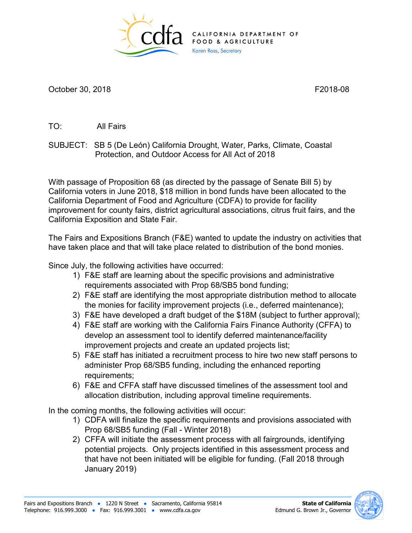

October 30, 2018 **F2018-08** 

TO: All Fairs

 SUBJECT: SB 5 (De León) California Drought, Water, Parks, Climate, Coastal Protection, and Outdoor Access for All Act of 2018

 improvement for county fairs, district agricultural associations, citrus fruit fairs, and the California Exposition and State Fair. With passage of Proposition 68 (as directed by the passage of Senate Bill 5) by California voters in June 2018, \$18 million in bond funds have been allocated to the California Department of Food and Agriculture (CDFA) to provide for facility

have taken place and that will take place related to distribution of the bond monies.<br>Since July, the following activities have occurred: The Fairs and Expositions Branch (F&E) wanted to update the industry on activities that

- 1) F&E staff are learning about the specific provisions and administrative requirements associated with Prop 68/SB5 bond funding;
- 2) F&E staff are identifying the most appropriate distribution method to allocate the monies for facility improvement projects (i.e., deferred maintenance);
- 3) F&E have developed a draft budget of the \$18M (subject to further approval);
- improvement projects and create an updated projects list; 4) F&E staff are working with the California Fairs Finance Authority (CFFA) to develop an assessment tool to identify deferred maintenance/facility
- 5) F&E staff has initiated a recruitment process to hire two new staff persons to administer Prop 68/SB5 funding, including the enhanced reporting requirements;
- 6) F&E and CFFA staff have discussed timelines of the assessment tool and allocation distribution, including approval timeline requirements.

In the coming months, the following activities will occur:

- 1) CDFA will finalize the specific requirements and provisions associated with Prop 68/SB5 funding (Fall - Winter 2018)
- 2) CFFA will initiate the assessment process with all fairgrounds, identifying potential projects. Only projects identified in this assessment process and that have not been initiated will be eligible for funding. (Fall 2018 through January 2019)